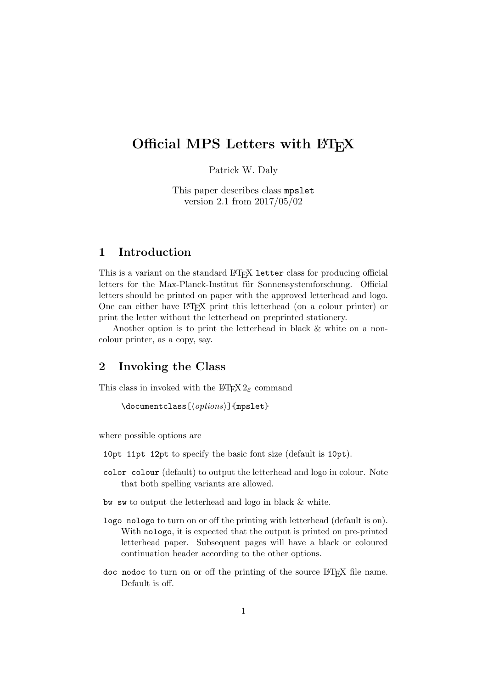# Official MPS Letters with LATEX

Patrick W. Daly

This paper describes class mpslet version 2.1 from 2017/05/02

### 1 Introduction

This is a variant on the standard LAT<sub>EX</sub> letter class for producing official letters for the Max-Planck-Institut für Sonnensystemforschung. Official letters should be printed on paper with the approved letterhead and logo. One can either have LATEX print this letterhead (on a colour printer) or print the letter without the letterhead on preprinted stationery.

Another option is to print the letterhead in black & white on a noncolour printer, as a copy, say.

### 2 Invoking the Class

This class in invoked with the  $\text{LATEX} 2_{\varepsilon}$  command

```
\documentclass[\langle options \rangle]{mpslet}
```
where possible options are

10pt 11pt 12pt to specify the basic font size (default is 10pt).

color colour (default) to output the letterhead and logo in colour. Note that both spelling variants are allowed.

bw sw to output the letterhead and logo in black & white.

- logo nologo to turn on or off the printing with letterhead (default is on). With nologo, it is expected that the output is printed on pre-printed letterhead paper. Subsequent pages will have a black or coloured continuation header according to the other options.
- doc nodoc to turn on or off the printing of the source LAT<sub>E</sub>X file name. Default is off.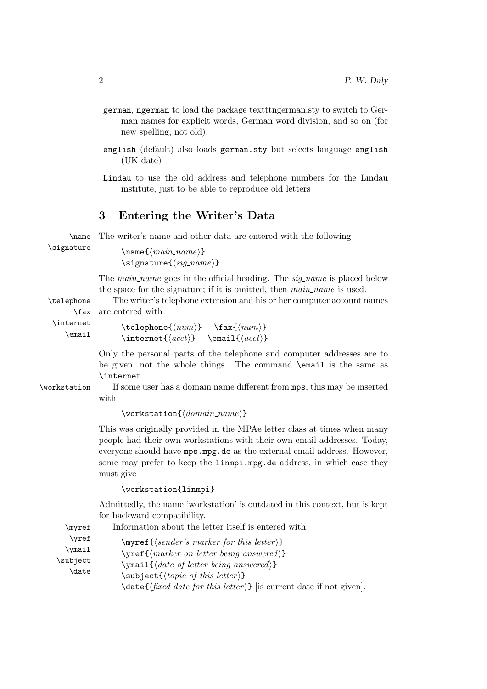- german, ngerman to load the package textttngerman.sty to switch to German names for explicit words, German word division, and so on (for new spelling, not old).
- english (default) also loads german.sty but selects language english (UK date)
- Lindau to use the old address and telephone numbers for the Lindau institute, just to be able to reproduce old letters

### 3 Entering the Writer's Data

\name The writer's name and other data are entered with the following

\signature  $\langle \text{man} \rangle$ }  $\sigma\$ 

> The *main\_name* goes in the official heading. The *sig\_name* is placed below the space for the signature; if it is omitted, then  $main_name$  is used.

\telephone The writer's telephone extension and his or her computer account names \fax are entered with

\internet \email

```
\text{telenbone}\{\langle num \rangle\} \fax\{\langle num \rangle\}\left\{\langle acct \rangle\right\} \email\left\{\langle acct \rangle\right\}
```
Only the personal parts of the telephone and computer addresses are to be given, not the whole things. The command \email is the same as \internet.

\workstation If some user has a domain name different from mps, this may be inserted

with

### $\text{Vworkstation}(\text{domain\_name})$

This was originally provided in the MPAe letter class at times when many people had their own workstations with their own email addresses. Today, everyone should have mps.mpg.de as the external email address. However, some may prefer to keep the linmpi.mpg.de address, in which case they must give

### \workstation{linmpi}

Admittedly, the name 'workstation' is outdated in this context, but is kept for backward compatibility.

\myref Information about the letter itself is entered with

\yref \ymail \subject \date  $\mbox{supers}$  { $\text{semder's marker}$  for this letter }}  $\{\mathsf{h} \in \mathcal{H} \mid \mathsf{h} \in \mathsf{h} \in \mathsf{h} \in \mathsf{h} \}$  $\mathcal{\langle}$ date of letter being answered)}  $\simeq \simeq \simeq \text{topic of this letter}$  $\delta$  \date{ $\{fixed\ date\ for\ this\ letter\}$  [is current date if not given].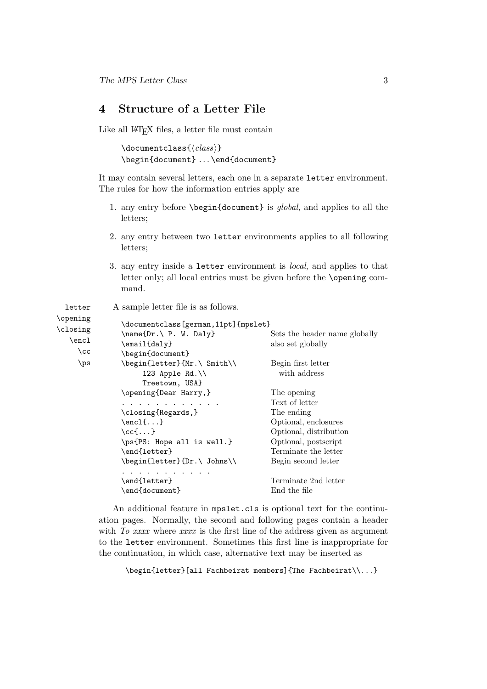# 4 Structure of a Letter File

Like all LAT<sub>E</sub>X files, a letter file must contain

```
\documentclass{\langle class \rangle}
\begin{document} . . . \end{document}
```
It may contain several letters, each one in a separate letter environment. The rules for how the information entries apply are

- 1. any entry before \begin{document} is global, and applies to all the letters;
- 2. any entry between two letter environments applies to all following letters;
- 3. any entry inside a letter environment is local, and applies to that letter only; all local entries must be given before the \opening command.

| letter                                          | A sample letter file is as follows.                                                                                                                                                                                                                                                                |                                                                                                                                                                      |
|-------------------------------------------------|----------------------------------------------------------------------------------------------------------------------------------------------------------------------------------------------------------------------------------------------------------------------------------------------------|----------------------------------------------------------------------------------------------------------------------------------------------------------------------|
| \opening<br>\closing<br>\encl<br>$\setminus$ cc | \documentclass[german,11pt]{mpslet}<br>$\name{Dr.} P. W. Daly$<br>\email{daly}<br>\begin{document}                                                                                                                                                                                                 | Sets the header name globally<br>also set globally                                                                                                                   |
| \ps                                             | \begin{letter}{Mr.\ Smith\\<br>123 Apple Rd.\\<br>Treetown, USA}                                                                                                                                                                                                                                   | Begin first letter<br>with address                                                                                                                                   |
|                                                 | \opening{Dear Harry,}<br>the contract of the contract of the contract of the contract of the contract of the contract of the contract of<br>\closing{Regards,}<br>$\encl\{ \ldots \}$<br>$\setminus$ cc $\{ \dots \}$<br>\ps{PS: Hope all is well.}<br>\end{letter}<br>\begin{letter}{Dr.\ Johns\\ | The opening<br>Text of letter<br>The ending<br>Optional, enclosures<br>Optional, distribution<br>Optional, postscript<br>Terminate the letter<br>Begin second letter |
|                                                 | $\cdots$<br>\end{letter}<br>\end{document}                                                                                                                                                                                                                                                         | Terminate 2nd letter<br>End the file                                                                                                                                 |

An additional feature in mpslet.cls is optional text for the continuation pages. Normally, the second and following pages contain a header with  $To$  xxxx where  $xxxx$  is the first line of the address given as argument to the letter environment. Sometimes this first line is inappropriate for the continuation, in which case, alternative text may be inserted as

\begin{letter}[all Fachbeirat members]{The Fachbeirat\\...}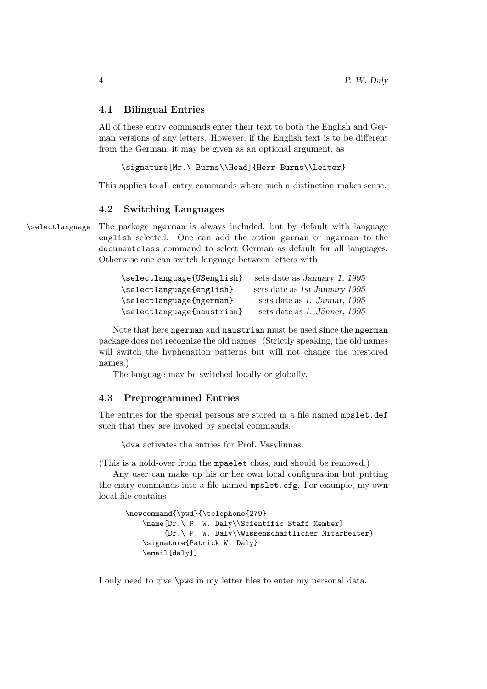### 4.1 Bilingual Entries

All of these entry commands enter their text to both the English and German versions of any letters. However, if the English text is to be different from the German, it may be given as an optional argument, as

\signature[Mr.\ Burns\\Head]{Herr Burns\\Leiter}

This applies to all entry commands where such a distinction makes sense.

#### 4.2 Switching Languages

\selectlanguage The package ngerman is always included, but by default with language english selected. One can add the option german or ngerman to the documentclass command to select German as default for all languages. Otherwise one can switch language between letters with

| \selectlanguage{USenglish} | sets date as January 1, 1995  |
|----------------------------|-------------------------------|
| \selectlanguage{english}   | sets date as 1st January 1995 |
| \selectlanguage{ngerman}   | sets date as 1. Januar, 1995  |
| \selectlanguage{naustrian} | sets date as 1. Jänner, 1995  |

Note that here ngerman and naustrian must be used since the ngerman package does not recognize the old names. (Strictly speaking, the old names will switch the hyphenation patterns but will not change the prestored names.)

The language may be switched locally or globally.

### 4.3 Preprogrammed Entries

The entries for the special persons are stored in a file named mpslet.def such that they are invoked by special commands.

\dva activates the entries for Prof. Vasyliunas.

(This is a hold-over from the mpaelet class, and should be removed.)

Any user can make up his or her own local configuration but putting the entry commands into a file named mpslet.cfg. For example, my own local file contains

```
\newcommand{\pwd}{\telephone{279}
    \name[Dr.\ P. W. Daly\\Scientific Staff Member]
         {Dr.\ P. W. Daly\\Wissenschaftlicher Mitarbeiter}
    \signature{Patrick W. Daly}
    \email{daly}}
```
I only need to give **\pwd** in my letter files to enter my personal data.